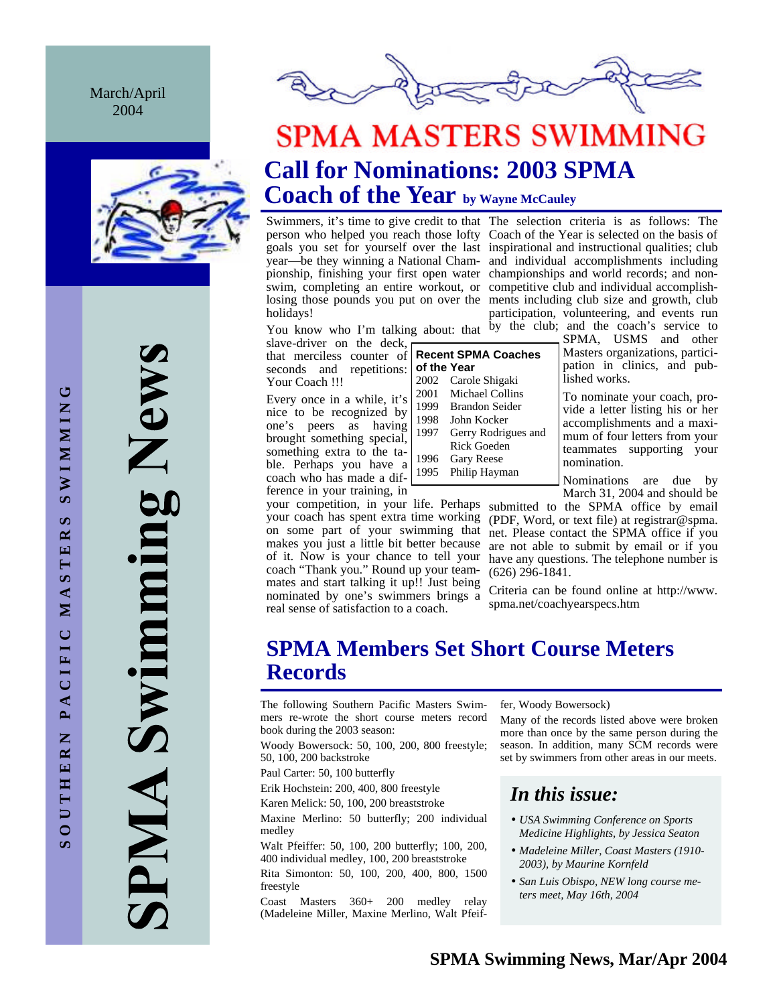March/April 2004



Swimming New AIMP



# **SPMA MASTERS SWIMMING Call for Nominations: 2003 SPMA Coach of the Year by Wayne McCauley**

Swimmers, it's time to give credit to that The selection criteria is as follows: The holidays!

person who helped you reach those lofty Coach of the Year is selected on the basis of goals you set for yourself over the last inspirational and instructional qualities; club year—be they winning a National Cham- and individual accomplishments including pionship, finishing your first open water championships and world records; and nonswim, completing an entire workout, or competitive club and individual accomplishlosing those pounds you put on over the ments including club size and growth, club participation, volunteering, and events run

slave-driver on the deck, that merciless counter of seconds and repetitions: Your Coach !!!

Every once in a while, it's nice to be recognized by one's peers as having brought something special, something extra to the table. Perhaps you have a coach who has made a difference in your training, in

your coach has spent extra time working on some part of your swimming that makes you just a little bit better because of it. Now is your chance to tell your coach "Thank you." Round up your teammates and start talking it up!! Just being nominated by one's swimmers brings a real sense of satisfaction to a coach.

| of the Year | <b>Recent SPMA Coaches</b> |
|-------------|----------------------------|
| 2002        | Carole Shigaki             |
| 2001        | Michael Collins            |
| 1999        | Brandon Seider             |
| 1998        | John Kocker                |
| 1997        | Gerry Rodrigues and        |
|             | Rick Goeden                |
| 1996        | <b>Gary Reese</b>          |
| 1995        | Philip Hayman              |
|             |                            |

You know who I'm talking about: that  $\overline{b}y$  the club; and the coach's service to SPMA, USMS and other Masters organizations, participation in clinics, and published works.

> To nominate your coach, provide a letter listing his or her accomplishments and a maximum of four letters from your teammates supporting your nomination.

> Nominations are due by March 31, 2004 and should be

your competition, in your life. Perhaps submitted to the SPMA office by email (PDF, Word, or text file) at registrar@spma. net. Please contact the SPMA office if you are not able to submit by email or if you have any questions. The telephone number is (626) 296-1841.

> Criteria can be found online at http://www. spma.net/coachyearspecs.htm

# **SPMA Members Set Short Course Meters Records**

The following Southern Pacific Masters Swimmers re-wrote the short course meters record book during the 2003 season:

Woody Bowersock: 50, 100, 200, 800 freestyle; 50, 100, 200 backstroke

Paul Carter: 50, 100 butterfly

Erik Hochstein: 200, 400, 800 freestyle

Karen Melick: 50, 100, 200 breaststroke

Maxine Merlino: 50 butterfly; 200 individual medley

Walt Pfeiffer: 50, 100, 200 butterfly; 100, 200, 400 individual medley, 100, 200 breaststroke

Rita Simonton: 50, 100, 200, 400, 800, 1500 freestyle

Coast Masters 360+ 200 medley relay (Madeleine Miller, Maxine Merlino, Walt Pfeiffer, Woody Bowersock)

Many of the records listed above were broken more than once by the same person during the season. In addition, many SCM records were set by swimmers from other areas in our meets.

# *In this issue:*

- *USA Swimming Conference on Sports Medicine Highlights, by Jessica Seaton*
- *Madeleine Miller, Coast Masters (1910- 2003), by Maurine Kornfeld*
- *San Luis Obispo, NEW long course meters meet, May 16th, 2004*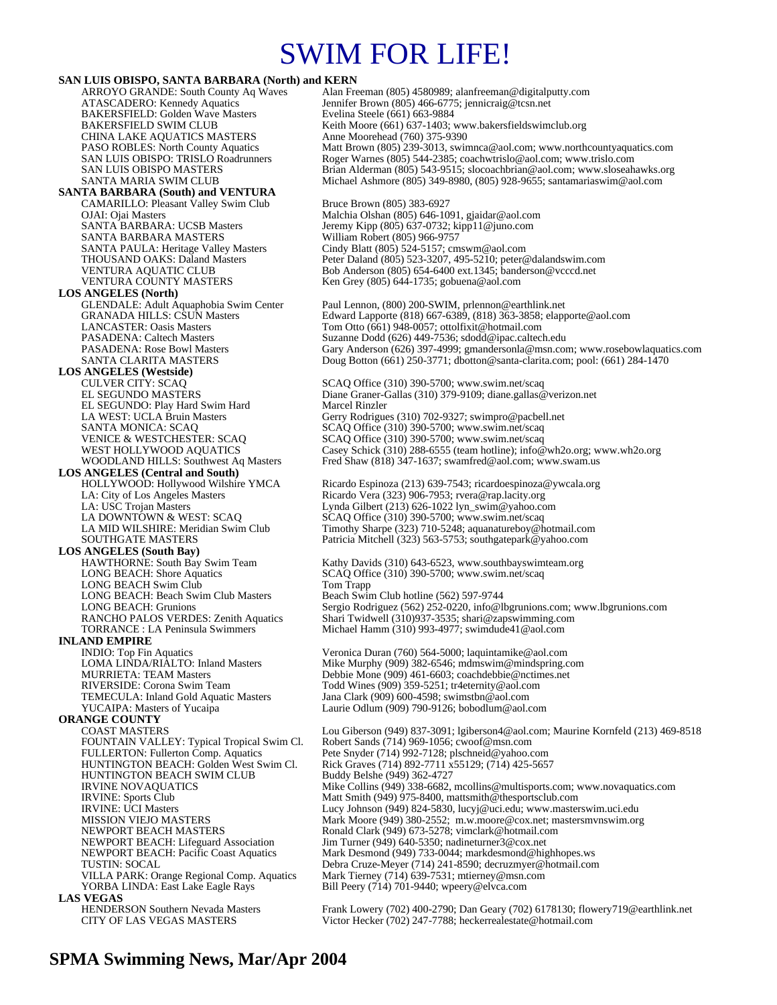# SWIM FOR LIFE!

### **SAN LUIS OBISPO, SANTA BARBARA (North) and KERN**

BAKERSFIELD: Golden Wave Masters<br>BAKERSFIELD SWIM CLUB CHINA LAKE AQUATICS MASTERS Anne Moorehead (760) 375-9390<br>
PASO ROBLES: North County Aquatics Matt Brown (805) 239-3013, swin

#### **SANTA BARBARA (South) and VENTURA** CAMARILLO: Pleasant Valley Swim Club Bruce Brown (805) 383-6927

SANTA BARBARA: UCSB Masters Jeremy Kipp (805) 637-0732; ki<br>SANTA BARBARA MASTERS William Robert (805) 966-9757<br>SANTA PAULA: Heritage Valley Masters Cindy Blatt (805) 524-5157; cm

**LOS ANGELES (North)** 

# **LOS ANGELES (Westside)**

EL SEGUNDO: Play Hard Swim Hard<br>LA WEST: UCLA Bruin Masters

### **LOS ANGELES (Central and South)**

**LOS ANGELES (South Bay)** LONG BEACH Swim Club<br>
LONG BEACH: Beach Swim Club Masters<br>
Beach Swim Club hotline (562) 597-9744 LONG BEACH: Beach Swim Club Masters<br>LONG BEACH: Grunions

### **INLAND EMPIRE**

**ORANGE COUNTY**  FOUNTAIN VALLEY: Typical Tropical Swim Cl. Robert Sands (714) 969-1056; cwoof @msn.com<br>FULLERTON: Fullerton Comp. Aquatics Pete Snyder (714) 992-7128; plschneid @yahoo.c FULLERTON: Fullerton Comp. Aquatics Pete Snyder (714) 992-7128; plschneid@yahoo.com<br>HUNTINGTON BEACH: Golden West Swim Cl. Rick Graves (714) 892-7711 x55129; (714) 425-565 HUNTINGTON BEACH SWIM CLUB IRVINE NOVAQUATICS VILLA PARK: Orange Regional Comp. Aquatics Mark Tierney (714) 639-7531; mtierney@msn.com YORBA LINDA: East Lake Eagle Rays Bill Peery (714) 701-9440; wpeery@elvca.com **LAS VEGAS** 

ARROYO GRANDE: South County Aq Waves Alan Freeman (805) 4580989; alanfreeman @digitalputty.com<br>ATASCADERO: Kennedy Aquatics Jennifer Brown (805) 466-6775; jennicraig @tcsn.net Jennifer Brown (805) 466-6775; jennicraig@tcsn.net<br>Evelina Steele (661) 663-9884 Keith Moore (661) 637-1403; www.bakersfieldswimclub.org PASO ROBLES: North County Aquatics Matt Brown (805) 239-3013, swimnca@aol.com; www.northcountyaquatics.com<br>SAN LUIS OBISPO: TRISLO Roadrunners Roger Warnes (805) 544-2385; coachwtrislo@aol.com; www.trislo.com Roger Warnes (805) 544-2385; coachwtrislo@aol.com; www.trislo.com SAN LUIS OBISPO MASTERS<br>SANTA MARIA SWIM CLUB 1999 Michael Ashmore (805) 349-8980, (805) 928-9655; santamariaswim@aol.com Michael Ashmore (805) 349-8980, (805) 928-9655; santamariaswim@aol.com

OJAI: Ojai Masters Malchia Olshan (805) 646-1091, gjaidar@aol.com SANTA BARBARA: UCSB Masters Jeremy Kipp (805) 637-0732; kipp11@juno.com SANTA PAULA: Heritage Valley Masters Cindy Blatt (805) 524-5157; cmswm@aol.com THOUSAND OAKS: Daland Masters Peter Daland (805) 523-3207, 495-5210; peter@dalandswim.com VENTURA AQUATIC CLUB Bob Anderson (805) 654-6400 ext.1345; banderson @vcccd.net<br>VENTURA COUNTY MASTERS Ken Grey (805) 644-1735; gobuena@aol.com Ken Grey (805) 644-1735; gobuena@aol.com

GLENDALE: Adult Aquaphobia Swim Center Paul Lennon, (800) 200-SWIM, prlennon@earthlink.net<br>GRANADA HILLS: CSUN Masters Edward Lapporte (818) 667-6389, (818) 363-3858; elapp Edward Lapporte (818) 667-6389, (818) 363-3858; elapporte@aol.com LANCASTER: Oasis Masters Tom Otto (661) 948-0057; ottolfixit@hotmail.com<br>PASADENA: Caltech Masters Suzanne Dodd (626) 449-7536; sdodd@ipac.caltec PASADENA: Caltech Masters Suzanne Dodd (626) 449-7536; sdodd@ipac.caltech.edu<br>PASADENA: Rose Bowl Masters Gary Anderson (626) 397-4999; gmandersonla@msn.com Gary Anderson (626) 397-4999; gmandersonla@msn.com; www.rosebowlaquatics.com SANTA CLARITA MASTERS Doug Botton (661) 250-3771; dbotton@santa-clarita.com; pool: (661) 284-1470

SCAQ Office (310) 390-5700; www.swim.net/scaq EL SEGUNDO MASTERS Diane Graner-Gallas (310) 379-9109; diane.gallas @verizon.net<br>EL SEGUNDO: Play Hard Swim Hard Marcel Rinzler Gerry Rodrigues (310) 702-9327; swimpro@pacbell.net SANTA MONICA: SCAQ<br>
SCAQ Office (310) 390-5700; www.swim.net/scaq<br>
VENICE & WESTCHESTER: SCAQ SCAQ Office (310) 390-5700; www.swim.net/scaq VENICE & WESTCHESTER: SCAQ SCAQ Office (310) 390-5700; www.swim.net/scaq WEST HOLLYWOOD AQUATICS Casey Schick (310) 288-6555 (team hotline); info@ Casey Schick (310) 288-6555 (team hotline); info@wh2o.org; www.wh2o.org WOODLAND HILLS: Southwest Aq Masters Fred Shaw (818) 347-1637; swamfred@aol.com; www.swam.us

HOLLYWOOD: Hollywood Wilshire YMCA Ricardo Espinoza (213) 639-7543; ricardoespinoza@ywcala.org<br>
LA: City of Los Angeles Masters Ricardo Vera (323) 906-7953; rvera@rap.lacity.org LA: City of Los Angeles Masters Ricardo Vera (323) 906-7953; rvera@rap.lacity.org<br>
Lynda Gilbert (213) 626-1022 lyn\_swim@yahoo.cc LA: USC Trojan Masters Lynda Gilbert (213) 626-1022 lyn\_swim@yahoo.com<br>
LA DOWNTOWN & WEST: SCAQ SCAQ SCAQ Office (310) 390-5700; www.swim.net/scaq LA DOWNTOWN & WEST: SCAQ SCAQ Office (310) 390-5700; www.swim.net/scaq<br>LA MID WILSHIRE: Meridian Swim Club Timothy Sharpe (323) 710-5248; aquanatureboy@b LA MID WILSHIRE: Meridian Swim Club Timothy Sharpe (323) 710-5248; aquanatureboy@hotmail.com<br>SOUTHGATE MASTERS Patricia Mitchell (323) 563-5753; southgatepark@yahoo.com Patricia Mitchell (323) 563-5753; southgatepark@yahoo.com

HAWTHORNE: South Bay Swim Team Kathy Davids (310) 643-6523, www.southbayswimteam.org<br>
LONG BEACH: Shore Aquatics SCAQ Office (310) 390-5700; www.swim.net/scaq SCAQ Office (310) 390-5700; www.swim.net/scaq LONG BEACH: Grunions Sergio Rodriguez (562) 252-0220, info@lbgrunions.com; www.lbgrunions.com<br>RANCHO PALOS VERDES: Zenith Aquatics Shari Twidwell (310)937-3535; shari@zapswimming.com RANCHO PALOS VERDES: Zenith Aquatics Shari Twidwell (310)937-3535; shari@zapswimming.com<br>TORRANCE : LA Peninsula Swimmers Michael Hamm (310) 993-4977; swimdude41@aol.com Michael Hamm (310) 993-4977; swimdude41@aol.com

INDIO: Top Fin Aquatics Veronica Duran (760) 564-5000; laquintamike@aol.com<br>
LOMA LINDA/RIALTO: Inland Masters Mike Murphy (909) 382-6546; mdmswim@mindspring.c LOMA LINDA/RIÂLTO: Inland Masters Mike Murphy (909) 382-6546; mdmswim@mindspring.com<br>MURRIETA: TEAM Masters **Murphy 1990** Debbie Mone (909) 461-6603; coachdebbie@nctimes.net Debbie Mone (909) 461-6603; coachdebbie@nctimes.net RIVERSIDE: Corona Swim Team Todd Wines (909) 359-5251; tr4eternity@aol.com<br>TEMECULA: Inland Gold Aquatic Masters Jana Clark (909) 600-4598; swimstbn@aol.com TEMECULA: Inland Gold Aquatic Masters Jana Clark (909) 600-4598; swimstbn@aol.com<br>YUCAIPA: Masters of Yucaipa Laurie Odlum (909) 790-9126; bobodlum@aol.c Laurie Odlum (909) 790-9126; bobodlum@aol.com

Lou Giberson (949) 837-3091; lgiberson4@aol.com; Maurine Kornfeld (213) 469-8518 Rick Graves (714) 892-7711 x55129; (714) 425-5657<br>Buddy Belshe (949) 362-4727 IRVINE NOVAQUATICS Mike Collins (949) 338-6682, mcollins@multisports.com; www.novaquatics.com<br>
IRVINE: Sports Club<br>
IRVINE: UCI Masters<br>
IRVINE: UCI Masters<br>
IRVINE: UCI Masters<br>
IRVINE: UCI Masters Matt Smith (949) 975-8400, mattsmith@thesportsclub.com IRVINE: UCI Masters **Lucy Johnson (949) 824-5830, lucyj@uci.edu**; www.masterswim.uci.edu<br>MISSION VIEJO MASTERS Mark Moore (949) 380-2552; m.w.moore@cox.net; mastersmvnswim.org MISSION VIEJO MASTERS<br>
Mark Moore (949) 380-2552; m.w.moore@cox.net; mastersmvnswim.org<br>
Ronald Clark (949) 673-5278; vimclark@hotmail.com NEWPORT BEACH MASTERS<br>NEWPORT BEACH: Lifeguard Association Jim Turner (949) 640-5350; nadineturner3@cox.net Jim Turner (949) 640-5350; nadineturner3@cox.net NEWPORT BEACH: Pacific Coast Aquatics Mark Desmond (949) 733-0044; markdesmond@highhopes.ws<br>
TUSTIN: SOCAL Debra Cruze-Meyer (714) 241-8590; decruzmyer@hotmail.com Debra Cruze-Meyer (714) 241-8590; decruzmyer@hotmail.com

HENDERSON Southern Nevada Masters Frank Lowery (702) 400-2790; Dan Geary (702) 6178130; flowery719@earthlink.net<br>CITY OF LAS VEGAS MASTERS Victor Hecker (702) 247-7788; heckerrealestate@hotmail.com Victor Hecker (702) 247-7788; heckerrealestate@hotmail.com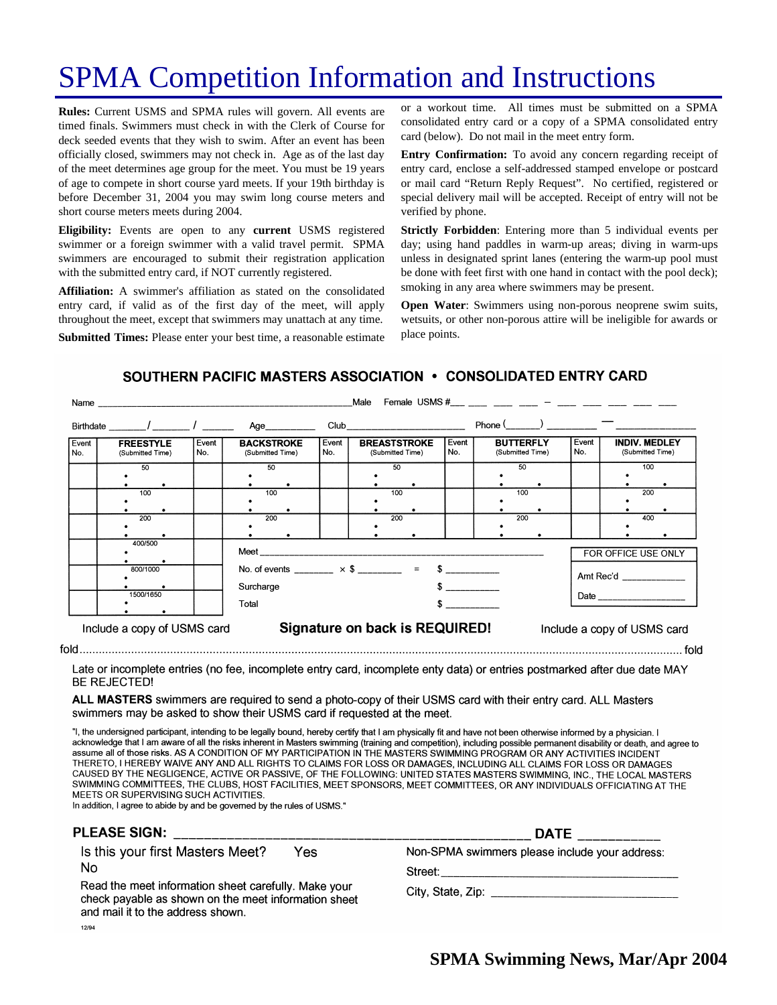# SPMA Competition Information and Instructions

**Rules:** Current USMS and SPMA rules will govern. All events are timed finals. Swimmers must check in with the Clerk of Course for deck seeded events that they wish to swim. After an event has been officially closed, swimmers may not check in. Age as of the last day of the meet determines age group for the meet. You must be 19 years of age to compete in short course yard meets. If your 19th birthday is before December 31, 2004 you may swim long course meters and short course meters meets during 2004.

**Eligibility:** Events are open to any **current** USMS registered swimmer or a foreign swimmer with a valid travel permit. SPMA swimmers are encouraged to submit their registration application with the submitted entry card, if NOT currently registered.

**Affiliation:** A swimmer's affiliation as stated on the consolidated entry card, if valid as of the first day of the meet, will apply throughout the meet, except that swimmers may unattach at any time.

**Submitted Times:** Please enter your best time, a reasonable estimate

or a workout time. All times must be submitted on a SPMA consolidated entry card or a copy of a SPMA consolidated entry card (below). Do not mail in the meet entry form.

**Entry Confirmation:** To avoid any concern regarding receipt of entry card, enclose a self-addressed stamped envelope or postcard or mail card "Return Reply Request". No certified, registered or special delivery mail will be accepted. Receipt of entry will not be verified by phone.

**Strictly Forbidden**: Entering more than 5 individual events per day; using hand paddles in warm-up areas; diving in warm-ups unless in designated sprint lanes (entering the warm-up pool must be done with feet first with one hand in contact with the pool deck); smoking in any area where swimmers may be present.

**Open Water**: Swimmers using non-porous neoprene swim suits, wetsuits, or other non-porous attire will be ineligible for awards or place points.

### SOUTHERN PACIFIC MASTERS ASSOCIATION . CONSOLIDATED ENTRY CARD

|              |                                      |              | Birthdate / / / Age                   |              | Club and the contract of the contract of the contract of the contract of the contract of the contract of the contract of the contract of the contract of the contract of the contract of the contract of the contract of the c |              | Phone $\frac{(\frac{1}{2} + \frac{1}{2})^{n-1}}{n-1}$ |              |                                          |
|--------------|--------------------------------------|--------------|---------------------------------------|--------------|--------------------------------------------------------------------------------------------------------------------------------------------------------------------------------------------------------------------------------|--------------|-------------------------------------------------------|--------------|------------------------------------------|
| Event<br>No. | <b>FREESTYLE</b><br>(Submitted Time) | Event<br>No. | <b>BACKSTROKE</b><br>(Submitted Time) | Event<br>No. | <b>BREASTSTROKE</b><br>(Submitted Time)                                                                                                                                                                                        | Event<br>No. | <b>BUTTERFLY</b><br>(Submitted Time)                  | Event<br>No. | <b>INDIV. MEDLEY</b><br>(Submitted Time) |
|              | 50                                   |              | 50                                    |              | 50                                                                                                                                                                                                                             |              | 50                                                    |              | 100                                      |
|              | 100                                  |              | 100                                   |              | 100                                                                                                                                                                                                                            |              | 100                                                   |              | 200                                      |
|              | 200                                  |              | 200                                   |              | 200                                                                                                                                                                                                                            |              | 200                                                   |              | 400                                      |
|              | 400/500                              |              | Meet ___________________              |              |                                                                                                                                                                                                                                |              |                                                       |              | FOR OFFICE USE ONLY                      |
|              | 800/1000                             |              | Surcharge                             |              | No. of events ________ $\times$ \$ ________ = \$ _________                                                                                                                                                                     |              | Amt Rec'd                                             |              |                                          |
|              | 1500/1650                            |              | Total                                 |              |                                                                                                                                                                                                                                |              |                                                       |              |                                          |
|              | Include a copy of USMS card          |              |                                       |              | Signature on back is REQUIRED!                                                                                                                                                                                                 |              |                                                       |              | Include a copy of USMS card              |

Late or incomplete entries (no fee, incomplete entry card, incomplete enty data) or entries postmarked after due date MAY BE REJECTED!

ALL MASTERS swimmers are required to send a photo-copy of their USMS card with their entry card. ALL Masters swimmers may be asked to show their USMS card if requested at the meet.

"I, the undersigned participant, intending to be legally bound, hereby certify that I am physically fit and have not been otherwise informed by a physician. I acknowledge that I am aware of all the risks inherent in Masters swimming (training and competition), including possible permanent disability or death, and agree to assume all of those risks. AS A CONDITION OF MY PARTICIPATION IN THE MASTERS SWIMMING PROGRAM OR ANY ACTIVITIES INCIDENT THERETO, I HEREBY WAIVE ANY AND ALL RIGHTS TO CLAIMS FOR LOSS OR DAMAGES, INCLUDING ALL CLAIMS FOR LOSS OR DAMAGES CAUSED BY THE NEGLIGENCE, ACTIVE OR PASSIVE, OF THE FOLLOWING: UNITED STATES MASTERS SWIMMING, INC., THE LOCAL MASTERS SWIMMING COMMITTEES, THE CLUBS, HOST FACILITIES, MEET SPONSORS, MEET COMMITTEES, OR ANY INDIVIDUALS OFFICIATING AT THE MEETS OR SUPERVISING SUCH ACTIVITIES.

In addition, I agree to abide by and be governed by the rules of USMS."

| <b>PLEASE SIGN:</b>                                                                                                                               | <b>DATE</b>                                    |  |  |  |
|---------------------------------------------------------------------------------------------------------------------------------------------------|------------------------------------------------|--|--|--|
| Is this your first Masters Meet?<br>Yes                                                                                                           | Non-SPMA swimmers please include your address: |  |  |  |
| N <sub>0</sub>                                                                                                                                    | Street: _________                              |  |  |  |
| Read the meet information sheet carefully. Make your<br>check payable as shown on the meet information sheet<br>and mail it to the address shown. |                                                |  |  |  |
| 120A                                                                                                                                              |                                                |  |  |  |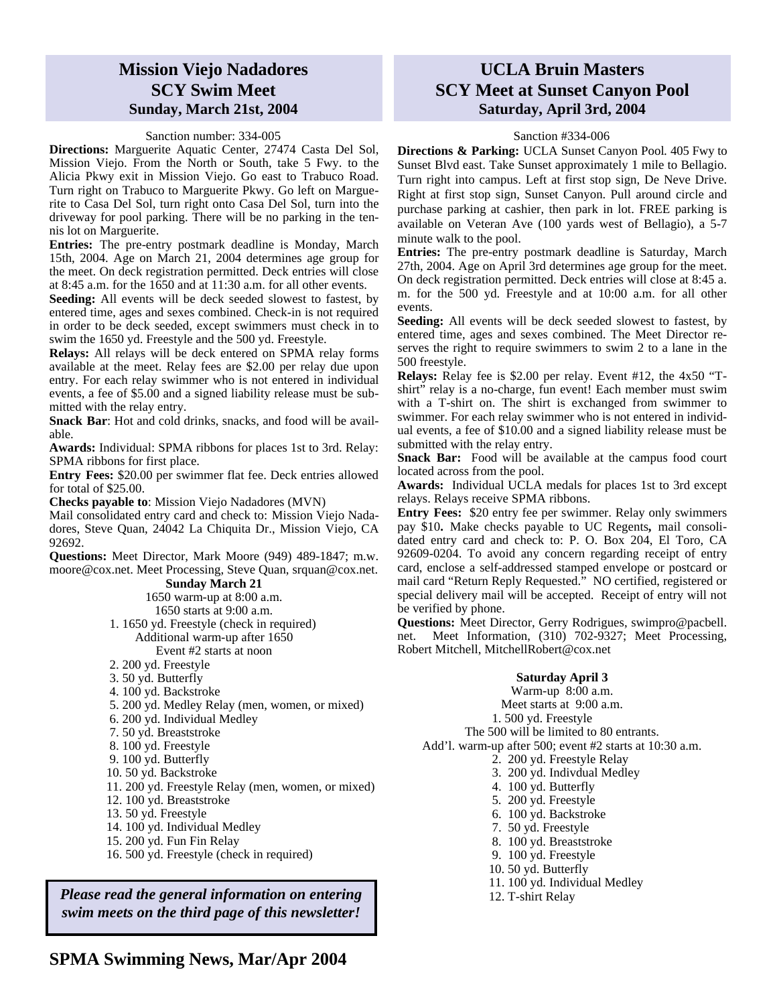### **Mission Viejo Nadadores SCY Swim Meet Sunday, March 21st, 2004**

#### Sanction number: 334-005

**Directions:** Marguerite Aquatic Center, 27474 Casta Del Sol, Mission Viejo. From the North or South, take 5 Fwy. to the Alicia Pkwy exit in Mission Viejo. Go east to Trabuco Road. Turn right on Trabuco to Marguerite Pkwy. Go left on Marguerite to Casa Del Sol, turn right onto Casa Del Sol, turn into the driveway for pool parking. There will be no parking in the tennis lot on Marguerite.

**Entries:** The pre-entry postmark deadline is Monday, March 15th, 2004. Age on March 21, 2004 determines age group for the meet. On deck registration permitted. Deck entries will close at 8:45 a.m. for the 1650 and at 11:30 a.m. for all other events.

**Seeding:** All events will be deck seeded slowest to fastest, by entered time, ages and sexes combined. Check-in is not required in order to be deck seeded, except swimmers must check in to swim the 1650 yd. Freestyle and the 500 yd. Freestyle.

**Relays:** All relays will be deck entered on SPMA relay forms available at the meet. Relay fees are \$2.00 per relay due upon entry. For each relay swimmer who is not entered in individual events, a fee of \$5.00 and a signed liability release must be submitted with the relay entry.

**Snack Bar**: Hot and cold drinks, snacks, and food will be available.

**Awards:** Individual: SPMA ribbons for places 1st to 3rd. Relay: SPMA ribbons for first place.

**Entry Fees:** \$20.00 per swimmer flat fee. Deck entries allowed for total of \$25.00.

**Checks payable to**: Mission Viejo Nadadores (MVN)

Mail consolidated entry card and check to: Mission Viejo Nadadores, Steve Quan, 24042 La Chiquita Dr., Mission Viejo, CA 92692.

**Questions:** Meet Director, Mark Moore (949) 489-1847; m.w. moore@cox.net. Meet Processing, Steve Quan, srquan@cox.net.

### **Sunday March 21**

1650 warm-up at 8:00 a.m. 1650 starts at 9:00 a.m. 1. 1650 yd. Freestyle (check in required) Additional warm-up after 1650 Event #2 starts at noon

- 2. 200 yd. Freestyle
- 3. 50 yd. Butterfly
- 4. 100 yd. Backstroke
- 5. 200 yd. Medley Relay (men, women, or mixed)
- 6. 200 yd. Individual Medley
- 7. 50 yd. Breaststroke
- 8. 100 yd. Freestyle
- 9. 100 yd. Butterfly
- 10. 50 yd. Backstroke
- 11. 200 yd. Freestyle Relay (men, women, or mixed)
- 12. 100 yd. Breaststroke
- 13. 50 yd. Freestyle
- 14. 100 yd. Individual Medley
- 15. 200 yd. Fun Fin Relay
- 16. 500 yd. Freestyle (check in required)

*Please read the general information on entering* **| 12. T-shirt Relay** *swim meets on the third page of this newsletter!*

### **UCLA Bruin Masters SCY Meet at Sunset Canyon Pool Saturday, April 3rd, 2004**

#### Sanction #334-006

**Directions & Parking:** UCLA Sunset Canyon Pool*.* 405 Fwy to Sunset Blvd east. Take Sunset approximately 1 mile to Bellagio. Turn right into campus. Left at first stop sign, De Neve Drive. Right at first stop sign, Sunset Canyon. Pull around circle and purchase parking at cashier, then park in lot. FREE parking is available on Veteran Ave (100 yards west of Bellagio), a 5-7 minute walk to the pool.

**Entries:** The pre-entry postmark deadline is Saturday, March 27th, 2004. Age on April 3rd determines age group for the meet. On deck registration permitted. Deck entries will close at 8:45 a. m. for the 500 yd. Freestyle and at 10:00 a.m. for all other events.

**Seeding:** All events will be deck seeded slowest to fastest, by entered time, ages and sexes combined. The Meet Director reserves the right to require swimmers to swim 2 to a lane in the 500 freestyle.

**Relays:** Relay fee is \$2.00 per relay. Event #12, the 4x50 "Tshirt" relay is a no-charge, fun event! Each member must swim with a T-shirt on. The shirt is exchanged from swimmer to swimmer. For each relay swimmer who is not entered in individual events, a fee of \$10.00 and a signed liability release must be submitted with the relay entry.

**Snack Bar:** Food will be available at the campus food court located across from the pool.

**Awards:** Individual UCLA medals for places 1st to 3rd except relays. Relays receive SPMA ribbons.

**Entry Fees:** \$20 entry fee per swimmer. Relay only swimmers pay \$10**.** Make checks payable to UC Regents**,** mail consolidated entry card and check to: P. O. Box 204, El Toro, CA 92609-0204. To avoid any concern regarding receipt of entry card, enclose a self-addressed stamped envelope or postcard or mail card "Return Reply Requested." NO certified, registered or special delivery mail will be accepted. Receipt of entry will not be verified by phone.

**Questions:** Meet Director, Gerry Rodrigues, swimpro@pacbell. net. Meet Information, (310) 702-9327; Meet Processing, Robert Mitchell, MitchellRobert@cox.net

### **Saturday April 3**

Warm-up 8:00 a.m. Meet starts at 9:00 a.m.

1. 500 yd. Freestyle

The 500 will be limited to 80 entrants.

- Add'l. warm-up after 500; event #2 starts at 10:30 a.m.
	- 2. 200 yd. Freestyle Relay
	- 3. 200 yd. Indivdual Medley
	- 4. 100 yd. Butterfly
	- 5. 200 yd. Freestyle
	- 6. 100 yd. Backstroke
	- 7. 50 yd. Freestyle
	- 8. 100 yd. Breaststroke
	- 9. 100 yd. Freestyle
	- 10. 50 yd. Butterfly
	- 11. 100 yd. Individual Medley
	-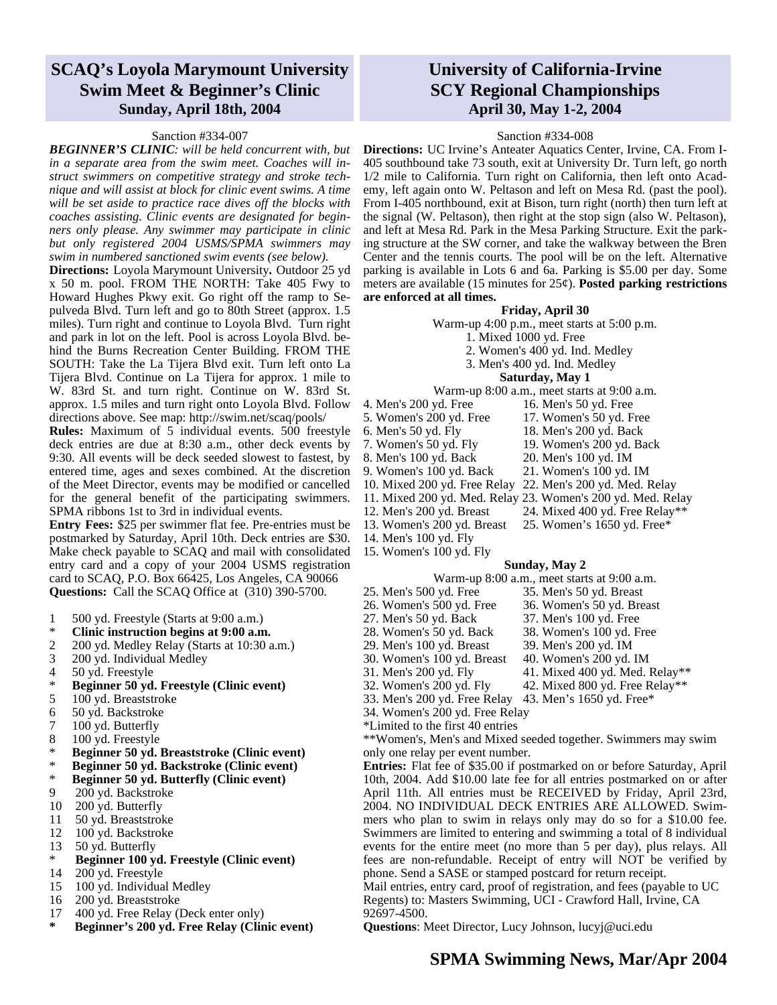## **SCAQ's Loyola Marymount University Swim Meet & Beginner's Clinic Sunday, April 18th, 2004**

#### Sanction #334-007

*BEGINNER'S CLINIC: will be held concurrent with, but in a separate area from the swim meet. Coaches will instruct swimmers on competitive strategy and stroke technique and will assist at block for clinic event swims. A time will be set aside to practice race dives off the blocks with coaches assisting. Clinic events are designated for beginners only please. Any swimmer may participate in clinic but only registered 2004 USMS/SPMA swimmers may swim in numbered sanctioned swim events (see below).*

**Directions:** Loyola Marymount University**.** Outdoor 25 yd x 50 m. pool. FROM THE NORTH: Take 405 Fwy to Howard Hughes Pkwy exit. Go right off the ramp to Sepulveda Blvd. Turn left and go to 80th Street (approx. 1.5 miles). Turn right and continue to Loyola Blvd. Turn right and park in lot on the left. Pool is across Loyola Blvd. behind the Burns Recreation Center Building. FROM THE SOUTH: Take the La Tijera Blvd exit. Turn left onto La Tijera Blvd. Continue on La Tijera for approx. 1 mile to W. 83rd St. and turn right. Continue on W. 83rd St. approx. 1.5 miles and turn right onto Loyola Blvd. Follow directions above. See map: http://swim.net/scaq/pools/

**Rules:** Maximum of 5 individual events. 500 freestyle deck entries are due at 8:30 a.m., other deck events by 9:30. All events will be deck seeded slowest to fastest, by entered time, ages and sexes combined. At the discretion of the Meet Director, events may be modified or cancelled for the general benefit of the participating swimmers. SPMA ribbons 1st to 3rd in individual events.

**Entry Fees:** \$25 per swimmer flat fee. Pre-entries must be postmarked by Saturday, April 10th. Deck entries are \$30. Make check payable to SCAQ and mail with consolidated entry card and a copy of your 2004 USMS registration card to SCAQ, P.O. Box 66425, Los Angeles, CA 90066 **Questions:** Call the SCAQ Office at (310) 390-5700.

- 1 500 yd. Freestyle (Starts at 9:00 a.m.)<br>  $\ddot{\textbf{r}}$  Clinic instruction begins at 0:00 a.m.
- 
- \* **Clinic instruction begins at 9:00 a.m.** 2 200 yd. Medley Relay (Starts at 10:30 a.m.)
- 3 200 yd. Individual Medley
- 4 50 yd. Freestyle<br> $*$  Boginner 50 yd.
- \* **Beginner 50 yd. Freestyle (Clinic event)**
- 5 100 yd. Breaststroke
- 6 50 yd. Backstroke
- 7 100 yd. Butterfly
- 8 100 yd. Freestyle
- \* **Beginner 50 yd. Breaststroke (Clinic event)**
- \* **Beginner 50 yd. Backstroke (Clinic event)**
- \* **Beginner 50 yd. Butterfly (Clinic event)**
- 9 200 yd. Backstroke
- 10 200 yd. Butterfly
- 11 50 yd. Breaststroke
- 12 100 yd. Backstroke
- 13 50 yd. Butterfly
- \* **Beginner 100 yd. Freestyle (Clinic event)**
- 14 200 yd. Freestyle
- 15 100 yd. Individual Medley
- 16 200 yd. Breaststroke
- 17 400 yd. Free Relay (Deck enter only)
- **\* Beginner's 200 yd. Free Relay (Clinic event)**

## **University of California-Irvine SCY Regional Championships April 30, May 1-2, 2004**

#### Sanction #334-008

**Directions:** UC Irvine's Anteater Aquatics Center, Irvine, CA. From I-405 southbound take 73 south, exit at University Dr. Turn left, go north 1/2 mile to California. Turn right on California, then left onto Academy, left again onto W. Peltason and left on Mesa Rd. (past the pool). From I-405 northbound, exit at Bison, turn right (north) then turn left at the signal (W. Peltason), then right at the stop sign (also W. Peltason), and left at Mesa Rd. Park in the Mesa Parking Structure. Exit the parking structure at the SW corner, and take the walkway between the Bren Center and the tennis courts. The pool will be on the left. Alternative parking is available in Lots 6 and 6a. Parking is \$5.00 per day. Some meters are available (15 minutes for 25¢). **Posted parking restrictions are enforced at all times.**

#### **Friday, April 30**

Warm-up 4:00 p.m., meet starts at 5:00 p.m.

- 1. Mixed 1000 yd. Free
- 2. Women's 400 yd. Ind. Medley
- 3. Men's 400 yd. Ind. Medley

#### **Saturday, May 1**

Warm-up 8:00 a.m., meet starts at 9:00 a.m.

- 4. Men's 200 yd. Free 16. Men's 50 yd. Free
- 
- 
- 7. Women's 50 yd. Fly 19. Women's 200 yd. Back
- 8. Men's 100 yd. Back 20. Men's 100 yd. IM
- 9. Women's 100 yd. Back 21. Women's 100 yd. IM
- 10. Mixed 200 yd. Free Relay 22. Men's 200 yd. Med. Relay
- 
- 
- 
- 14. Men's 100 yd. Fly
- 15. Women's 100 yd. Fly
	- **Sunday, May 2**
		- Warm-up 8:00 a.m., meet starts at 9:00 a.m.
- 25. Men's 500 yd. Free 35. Men's 50 yd. Breast
- 
- 26. Women's 500 yd. Free 36. Women's 50 yd. Breast
- 27. Men's 50 yd. Back 37. Men's 100 yd. Free
- 28. Women's 50 yd. Back 38. Women's 100 yd. Free
- 29. Men's 100 yd. Breast 39. Men's 200 yd. IM<br>30. Women's 100 yd. Breast 40. Women's 200 yd. IM
- 30. Women's 100 yd. Breast
- 31. Men's 200 yd. Fly 41. Mixed 400 yd. Med. Relay\*\*
- 32. Women's 200 yd. Fly 42. Mixed 800 yd. Free Relay\*\*
- 33. Men's 200 yd. Free Relay 43. Men's 1650 yd. Free\*
- 34. Women's 200 yd. Free Relay
- \*Limited to the first 40 entries

\*\*Women's, Men's and Mixed seeded together. Swimmers may swim only one relay per event number.

All entries must be KECEIVED by Friday, April 25rd,<br>
IDIVIDUAL DECK ENTRIES ARE ALLOWED. Swim-<br>
an to swim in relays only may do so for a \$10.00 fee.<br>
e limited to entering and swimming a total of 8 individual<br>
e entire me **Entries:** Flat fee of \$35.00 if postmarked on or before Saturday, April 10th, 2004. Add \$10.00 late fee for all entries postmarked on or after April 11th. All entries must be RECEIVED by Friday, April 23rd, 2004. NO INDIVIDUAL DECK ENTRIES ARE ALLOWED. Swimmers who plan to swim in relays only may do so for a \$10.00 fee. Swimmers are limited to entering and swimming a total of 8 individual events for the entire meet (no more than 5 per day), plus relays. All fees are non-refundable. Receipt of entry will NOT be verified by phone. Send a SASE or stamped postcard for return receipt.

Mail entries, entry card, proof of registration, and fees (payable to UC Regents) to: Masters Swimming, UCI - Crawford Hall, Irvine, CA

92697-4500.

**Questions**: Meet Director, Lucy Johnson, lucyj@uci.edu

- 5. Women's 200 yd. Free 17. Women's 50 yd. Free 6. Men's 50 yd. Fly 18. Men's 200 yd. Back
	-
	-
	-
- 11. Mixed 200 yd. Med. Relay 23. Women's 200 yd. Med. Relay
- 12. Men's 200 yd. Breast 24. Mixed 400 yd. Free Relay\*\*
- 13. Women's 200 yd. Breast 25. Women's 1650 yd. Free\*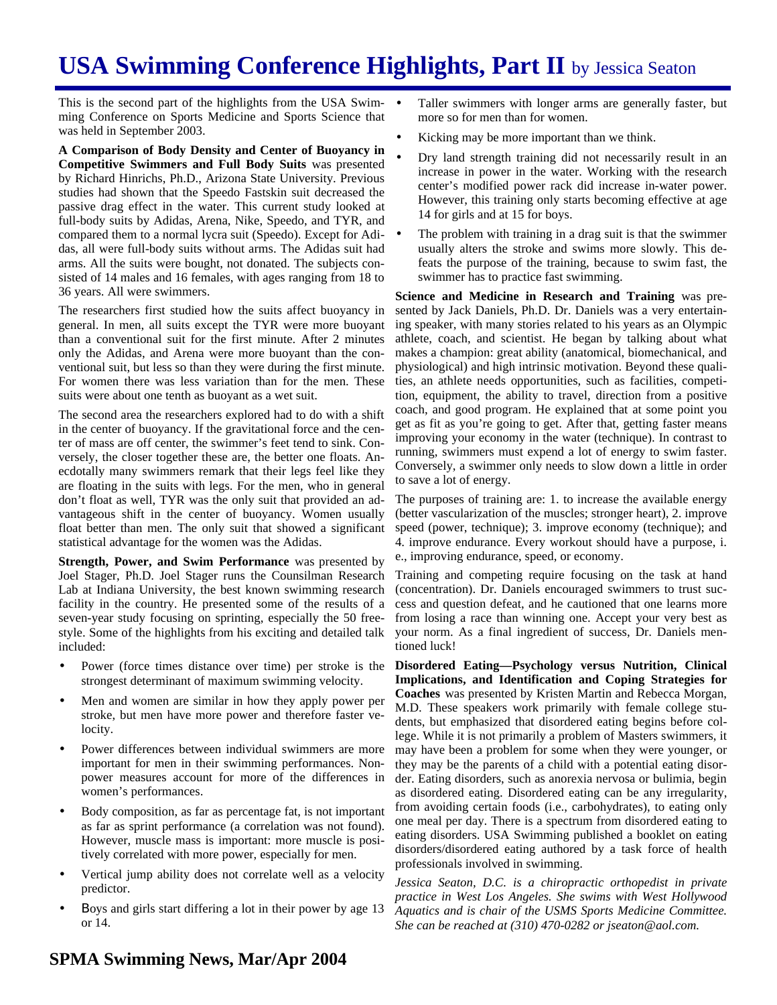# **USA Swimming Conference Highlights, Part II** by Jessica Seaton

This is the second part of the highlights from the USA Swimming Conference on Sports Medicine and Sports Science that was held in September 2003.

**A Comparison of Body Density and Center of Buoyancy in Competitive Swimmers and Full Body Suits** was presented by Richard Hinrichs, Ph.D., Arizona State University. Previous studies had shown that the Speedo Fastskin suit decreased the passive drag effect in the water. This current study looked at full-body suits by Adidas, Arena, Nike, Speedo, and TYR, and compared them to a normal lycra suit (Speedo). Except for Adidas, all were full-body suits without arms. The Adidas suit had arms. All the suits were bought, not donated. The subjects consisted of 14 males and 16 females, with ages ranging from 18 to 36 years. All were swimmers.

The researchers first studied how the suits affect buoyancy in general. In men, all suits except the TYR were more buoyant than a conventional suit for the first minute. After 2 minutes only the Adidas, and Arena were more buoyant than the conventional suit, but less so than they were during the first minute. For women there was less variation than for the men. These suits were about one tenth as buoyant as a wet suit.

The second area the researchers explored had to do with a shift in the center of buoyancy. If the gravitational force and the center of mass are off center, the swimmer's feet tend to sink. Conversely, the closer together these are, the better one floats. Anecdotally many swimmers remark that their legs feel like they are floating in the suits with legs. For the men, who in general don't float as well, TYR was the only suit that provided an advantageous shift in the center of buoyancy. Women usually float better than men. The only suit that showed a significant statistical advantage for the women was the Adidas.

**Strength, Power, and Swim Performance** was presented by Joel Stager, Ph.D. Joel Stager runs the Counsilman Research Lab at Indiana University, the best known swimming research facility in the country. He presented some of the results of a seven-year study focusing on sprinting, especially the 50 freestyle. Some of the highlights from his exciting and detailed talk included:

- Power (force times distance over time) per stroke is the strongest determinant of maximum swimming velocity.
- Men and women are similar in how they apply power per stroke, but men have more power and therefore faster velocity.
- Power differences between individual swimmers are more important for men in their swimming performances. Nonpower measures account for more of the differences in women's performances.
- Body composition, as far as percentage fat, is not important as far as sprint performance (a correlation was not found). However, muscle mass is important: more muscle is positively correlated with more power, especially for men.
- Vertical jump ability does not correlate well as a velocity predictor.
- Boys and girls start differing a lot in their power by age 13 or 14.
- Taller swimmers with longer arms are generally faster, but more so for men than for women.
- Kicking may be more important than we think.
- Dry land strength training did not necessarily result in an increase in power in the water. Working with the research center's modified power rack did increase in-water power. However, this training only starts becoming effective at age 14 for girls and at 15 for boys.
- The problem with training in a drag suit is that the swimmer usually alters the stroke and swims more slowly. This defeats the purpose of the training, because to swim fast, the swimmer has to practice fast swimming.

**Science and Medicine in Research and Training** was presented by Jack Daniels, Ph.D. Dr. Daniels was a very entertaining speaker, with many stories related to his years as an Olympic athlete, coach, and scientist. He began by talking about what makes a champion: great ability (anatomical, biomechanical, and physiological) and high intrinsic motivation. Beyond these qualities, an athlete needs opportunities, such as facilities, competition, equipment, the ability to travel, direction from a positive coach, and good program. He explained that at some point you get as fit as you're going to get. After that, getting faster means improving your economy in the water (technique). In contrast to running, swimmers must expend a lot of energy to swim faster. Conversely, a swimmer only needs to slow down a little in order to save a lot of energy.

The purposes of training are: 1. to increase the available energy (better vascularization of the muscles; stronger heart), 2. improve speed (power, technique); 3. improve economy (technique); and 4. improve endurance. Every workout should have a purpose, i. e., improving endurance, speed, or economy.

Training and competing require focusing on the task at hand (concentration). Dr. Daniels encouraged swimmers to trust success and question defeat, and he cautioned that one learns more from losing a race than winning one. Accept your very best as your norm. As a final ingredient of success, Dr. Daniels mentioned luck!

**Disordered Eating—Psychology versus Nutrition, Clinical Implications, and Identification and Coping Strategies for Coaches** was presented by Kristen Martin and Rebecca Morgan, M.D. These speakers work primarily with female college students, but emphasized that disordered eating begins before college. While it is not primarily a problem of Masters swimmers, it may have been a problem for some when they were younger, or they may be the parents of a child with a potential eating disorder. Eating disorders, such as anorexia nervosa or bulimia, begin as disordered eating. Disordered eating can be any irregularity, from avoiding certain foods (i.e., carbohydrates), to eating only one meal per day. There is a spectrum from disordered eating to eating disorders. USA Swimming published a booklet on eating disorders/disordered eating authored by a task force of health professionals involved in swimming.

*Jessica Seaton, D.C. is a chiropractic orthopedist in private practice in West Los Angeles. She swims with West Hollywood Aquatics and is chair of the USMS Sports Medicine Committee. She can be reached at (310) 470-0282 or jseaton@aol.com.*

### **SPMA Swimming News, Mar/Apr 2004**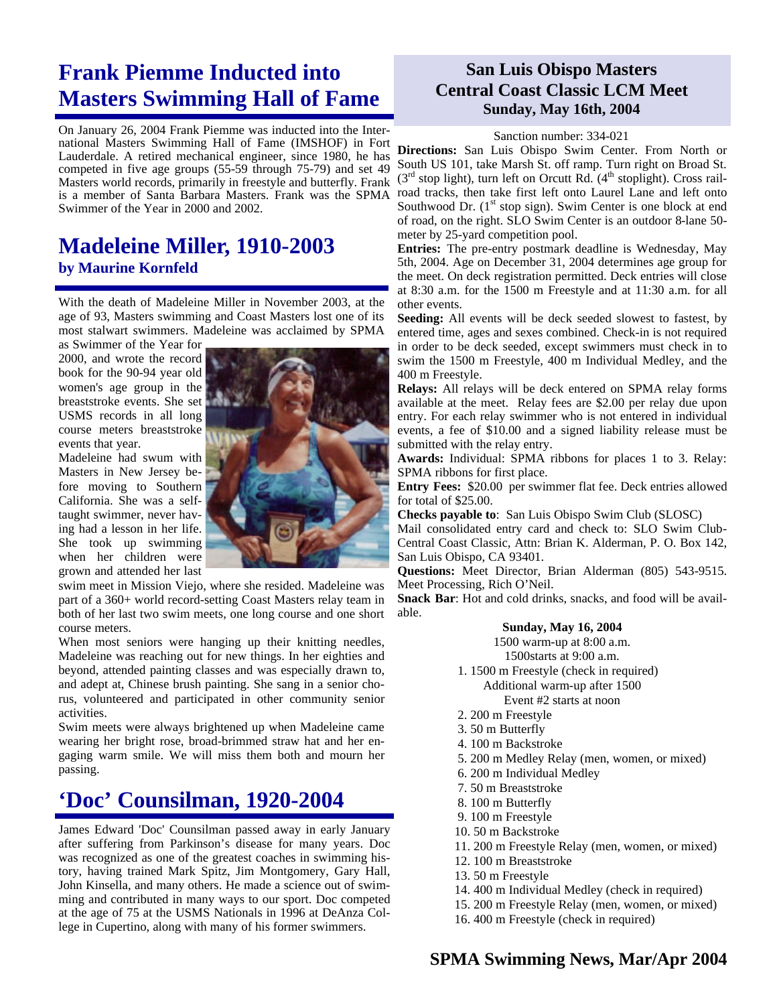# **Frank Piemme Inducted into Masters Swimming Hall of Fame**

On January 26, 2004 Frank Piemme was inducted into the International Masters Swimming Hall of Fame (IMSHOF) in Fort Lauderdale. A retired mechanical engineer, since 1980, he has competed in five age groups (55-59 through 75-79) and set 49 Masters world records, primarily in freestyle and butterfly. Frank is a member of Santa Barbara Masters. Frank was the SPMA Swimmer of the Year in 2000 and 2002.

## **Madeleine Miller, 1910-2003 by Maurine Kornfeld**

With the death of Madeleine Miller in November 2003, at the age of 93, Masters swimming and Coast Masters lost one of its most stalwart swimmers. Madeleine was acclaimed by SPMA

as Swimmer of the Year for 2000, and wrote the record book for the 90-94 year old women's age group in the breaststroke events. She set USMS records in all long course meters breaststroke events that year.

Madeleine had swum with Masters in New Jersey before moving to Southern California. She was a selftaught swimmer, never having had a lesson in her life. She took up swimming when her children were grown and attended her last



swim meet in Mission Viejo, where she resided. Madeleine was part of a 360+ world record-setting Coast Masters relay team in both of her last two swim meets, one long course and one short course meters.

When most seniors were hanging up their knitting needles, Madeleine was reaching out for new things. In her eighties and beyond, attended painting classes and was especially drawn to, and adept at, Chinese brush painting. She sang in a senior chorus, volunteered and participated in other community senior activities.

Swim meets were always brightened up when Madeleine came wearing her bright rose, broad-brimmed straw hat and her engaging warm smile. We will miss them both and mourn her passing.

# **'Doc' Counsilman, 1920-2004**

James Edward 'Doc' Counsilman passed away in early January after suffering from Parkinson's disease for many years. Doc was recognized as one of the greatest coaches in swimming history, having trained Mark Spitz, Jim Montgomery, Gary Hall, John Kinsella, and many others. He made a science out of swimming and contributed in many ways to our sport. Doc competed at the age of 75 at the USMS Nationals in 1996 at DeAnza College in Cupertino, along with many of his former swimmers.

## **San Luis Obispo Masters Central Coast Classic LCM Meet Sunday, May 16th, 2004**

### Sanction number: 334-021

**Directions:** San Luis Obispo Swim Center. From North or South US 101, take Marsh St. off ramp. Turn right on Broad St.  $(3<sup>rd</sup> stop light)$ , turn left on Orcutt Rd.  $(4<sup>th</sup> stoplight)$ . Cross railroad tracks, then take first left onto Laurel Lane and left onto Southwood Dr.  $(1<sup>st</sup> stop sign)$ . Swim Center is one block at end of road, on the right. SLO Swim Center is an outdoor 8-lane 50 meter by 25-yard competition pool.

**Entries:** The pre-entry postmark deadline is Wednesday, May 5th, 2004. Age on December 31, 2004 determines age group for the meet. On deck registration permitted. Deck entries will close at 8:30 a.m. for the 1500 m Freestyle and at 11:30 a.m. for all other events.

**Seeding:** All events will be deck seeded slowest to fastest, by entered time, ages and sexes combined. Check-in is not required in order to be deck seeded, except swimmers must check in to swim the 1500 m Freestyle, 400 m Individual Medley, and the 400 m Freestyle.

**Relays:** All relays will be deck entered on SPMA relay forms available at the meet. Relay fees are \$2.00 per relay due upon entry. For each relay swimmer who is not entered in individual events, a fee of \$10.00 and a signed liability release must be submitted with the relay entry.

**Awards:** Individual: SPMA ribbons for places 1 to 3. Relay: SPMA ribbons for first place.

**Entry Fees:** \$20.00 per swimmer flat fee. Deck entries allowed for total of \$25.00.

**Checks payable to**: San Luis Obispo Swim Club (SLOSC)

Mail consolidated entry card and check to: SLO Swim Club-Central Coast Classic, Attn: Brian K. Alderman, P. O. Box 142, San Luis Obispo, CA 93401.

**Questions:** Meet Director, Brian Alderman (805) 543-9515. Meet Processing, Rich O'Neil.

**Snack Bar**: Hot and cold drinks, snacks, and food will be available.

### **Sunday, May 16, 2004**

1500 warm-up at 8:00 a.m.

- 1500starts at 9:00 a.m.
- 1. 1500 m Freestyle (check in required) Additional warm-up after 1500

Event #2 starts at noon

- 2. 200 m Freestyle
- 3. 50 m Butterfly
- 4. 100 m Backstroke
- 5. 200 m Medley Relay (men, women, or mixed)
- 6. 200 m Individual Medley
- 7. 50 m Breaststroke
- 8. 100 m Butterfly
- 9. 100 m Freestyle
- 10. 50 m Backstroke
- 11. 200 m Freestyle Relay (men, women, or mixed)
- 12. 100 m Breaststroke
- 13. 50 m Freestyle
- 14. 400 m Individual Medley (check in required)
- 15. 200 m Freestyle Relay (men, women, or mixed)
- 16. 400 m Freestyle (check in required)

## **SPMA Swimming News, Mar/Apr 2004**